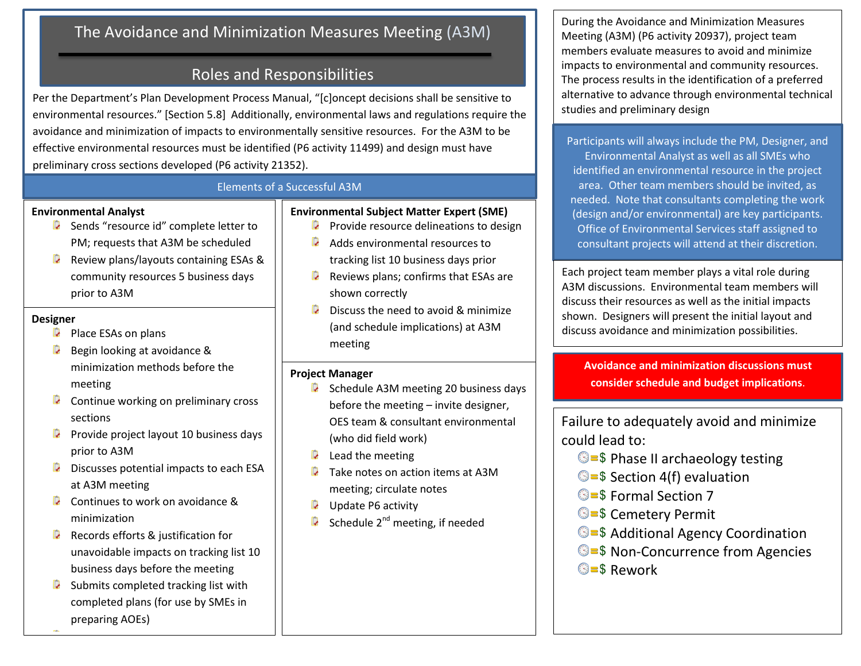# The Avoidance and Minimization Measures Meeting (A3M)

# Roles and Responsibilities

Per the Department's Plan Development Process Manual, "[c]oncept decisions shall be sensitive to environmental resources." [Section 5.8] Additionally, environmental laws and regulations require the avoidance and minimization of impacts to environmentally sensitive resources. For the A3M to be effective environmental resources must be identified (P6 activity 11499) and design must have preliminary cross sections developed (P6 activity 21352).

## Elements of a Successful A3M

#### **Environmental Analyst**

- **B** Sends "resource id" complete letter to PM; requests that A3M be scheduled
- Review plans/layouts containing ESAs & R community resources 5 business days prior to A3M

#### **Designer**

 $\overline{\phantom{a}}$ 

- D Place ESAs on plans
- D Begin looking at avoidance & minimization methods before the meeting
- D Continue working on preliminary cross sections
- D Provide project layout 10 business days prior to A3M
- D Discusses potential impacts to each ESA at A3M meeting
- D Continues to work on avoidance & minimization
- R Records efforts & justification for unavoidable impacts on tracking list 10 business days before the meeting
- D Submits completed tracking list with completed plans (for use by SMEs in preparing AOEs)

## **Environmental Subject Matter Expert (SME)**

- Provide resource delineations to design
- $\mathbf{L}$ Adds environmental resources to tracking list 10 business days prior
- $\mathbf{r}$ Reviews plans; confirms that ESAs are shown correctly
- $\mathbf{L}$ Discuss the need to avoid & minimize (and schedule implications) at A3M meeting

### **Project Manager**

- **D** Schedule A3M meeting 20 business days before the meeting – invite designer, OES team & consultant environmental (who did field work)
- R Lead the meeting
- $\overline{\mathbf{L}}$ Take notes on action items at A3M meeting; circulate notes
- I. Update P6 activity
- D Schedule 2<sup>nd</sup> meeting, if needed

During the Avoidance and Minimization Measures Meeting (A3M) (P6 activity 20937), project team members evaluate measures to avoid and minimize impacts to environmental and community resources. The process results in the identification of a preferred alternative to advance through environmental technical studies and preliminary design

Participants will always include the PM, Designer, and Environmental Analyst as well as all SMEs who identified an environmental resource in the project area. Other team members should be invited, as needed. Note that consultants completing the work (design and/or environmental) are key participants. Office of Environmental Services staff assigned to consultant projects will attend at their discretion.

Each project team member plays a vital role during A3M discussions. Environmental team members will discuss their resources as well as the initial impacts shown. Designers will present the initial layout and discuss avoidance and minimization possibilities.

**Avoidance and minimization discussions must consider schedule and budget implications**.

Failure to adequately avoid and minimize could lead to:

- $\circ$ =\$ Phase II archaeology testing
- $\bullet$ =\$ Section 4(f) evaluation
- **S=\$ Formal Section 7**
- **C=\$** Cemetery Permit
- **SES Additional Agency Coordination**
- **SES Non-Concurrence from Agencies**
- <sup>©=\$</sup> Rework